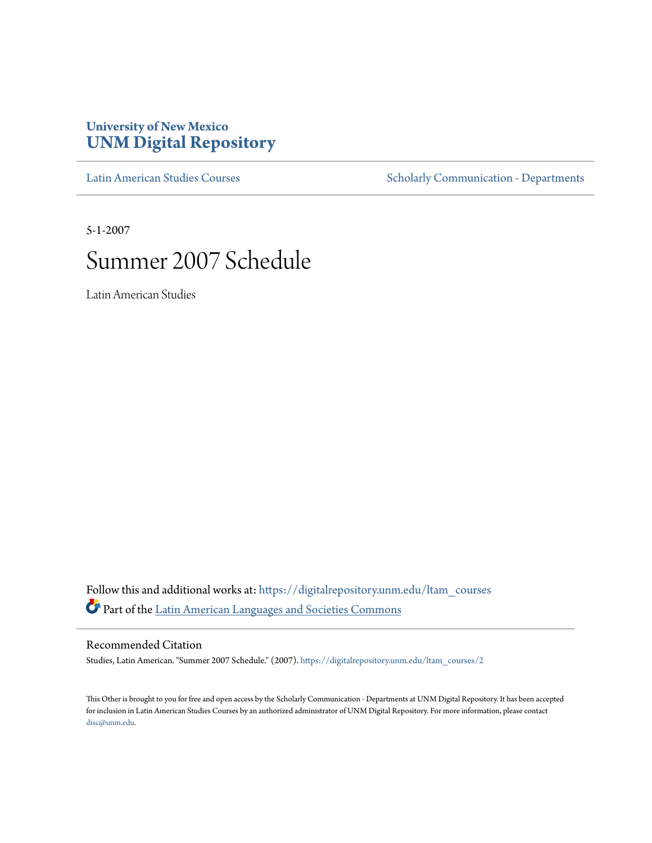# **University of New Mexico [UNM Digital Repository](https://digitalrepository.unm.edu?utm_source=digitalrepository.unm.edu%2Fltam_courses%2F2&utm_medium=PDF&utm_campaign=PDFCoverPages)**

[Latin American Studies Courses](https://digitalrepository.unm.edu/ltam_courses?utm_source=digitalrepository.unm.edu%2Fltam_courses%2F2&utm_medium=PDF&utm_campaign=PDFCoverPages) [Scholarly Communication - Departments](https://digitalrepository.unm.edu/departments?utm_source=digitalrepository.unm.edu%2Fltam_courses%2F2&utm_medium=PDF&utm_campaign=PDFCoverPages)

5-1-2007

# Summer 2007 Schedule

Latin American Studies

Follow this and additional works at: [https://digitalrepository.unm.edu/ltam\\_courses](https://digitalrepository.unm.edu/ltam_courses?utm_source=digitalrepository.unm.edu%2Fltam_courses%2F2&utm_medium=PDF&utm_campaign=PDFCoverPages) Part of the [Latin American Languages and Societies Commons](http://network.bepress.com/hgg/discipline/483?utm_source=digitalrepository.unm.edu%2Fltam_courses%2F2&utm_medium=PDF&utm_campaign=PDFCoverPages)

Recommended Citation

Studies, Latin American. "Summer 2007 Schedule." (2007). [https://digitalrepository.unm.edu/ltam\\_courses/2](https://digitalrepository.unm.edu/ltam_courses/2?utm_source=digitalrepository.unm.edu%2Fltam_courses%2F2&utm_medium=PDF&utm_campaign=PDFCoverPages)

This Other is brought to you for free and open access by the Scholarly Communication - Departments at UNM Digital Repository. It has been accepted for inclusion in Latin American Studies Courses by an authorized administrator of UNM Digital Repository. For more information, please contact [disc@unm.edu](mailto:disc@unm.edu).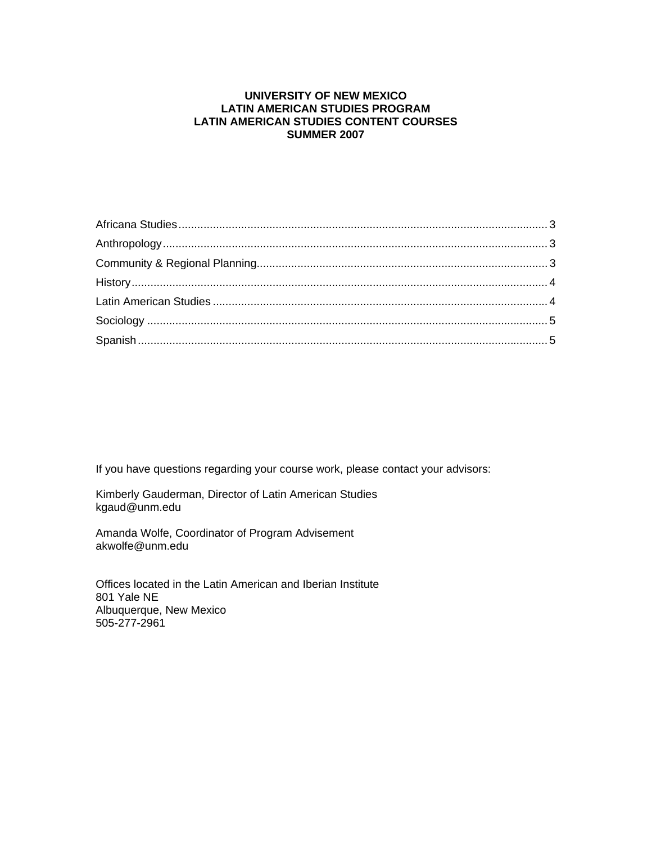# **UNIVERSITY OF NEW MEXICO LATIN AMERICAN STUDIES PROGRAM LATIN AMERICAN STUDIES CONTENT COURSES SUMMER 2007**

If you have questions regarding your course work, please contact your advisors:

Kimberly Gauderman, Director of Latin American Studies kgaud@unm.edu

Amanda Wolfe, Coordinator of Program Advisement akwolfe@unm.edu

Offices located in the Latin American and Iberian Institute 801 Yale NE Albuquerque, New Mexico 505-277-2961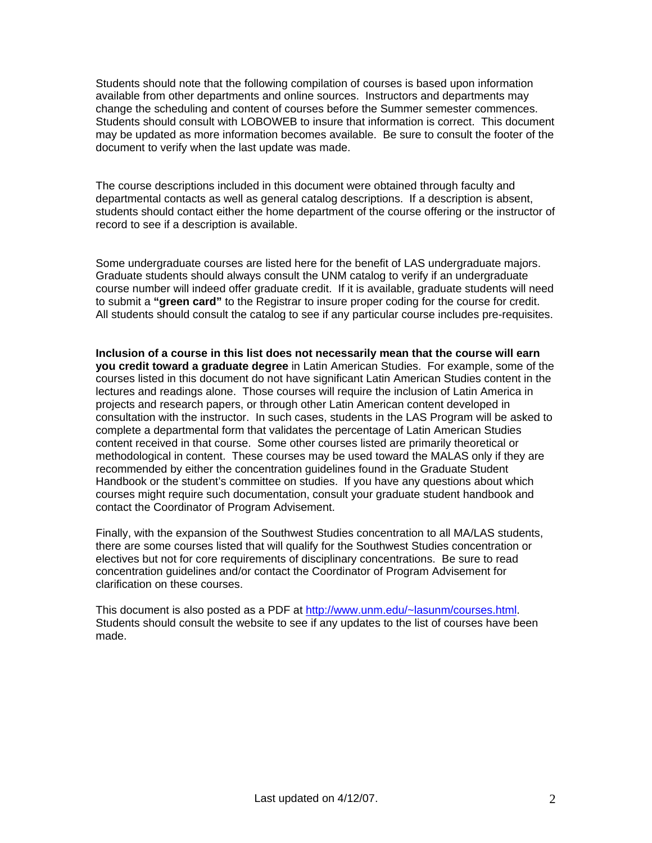Students should note that the following compilation of courses is based upon information available from other departments and online sources. Instructors and departments may change the scheduling and content of courses before the Summer semester commences. Students should consult with LOBOWEB to insure that information is correct. This document may be updated as more information becomes available. Be sure to consult the footer of the document to verify when the last update was made.

The course descriptions included in this document were obtained through faculty and departmental contacts as well as general catalog descriptions. If a description is absent, students should contact either the home department of the course offering or the instructor of record to see if a description is available.

Some undergraduate courses are listed here for the benefit of LAS undergraduate majors. Graduate students should always consult the UNM catalog to verify if an undergraduate course number will indeed offer graduate credit. If it is available, graduate students will need to submit a **"green card"** to the Registrar to insure proper coding for the course for credit. All students should consult the catalog to see if any particular course includes pre-requisites.

**Inclusion of a course in this list does not necessarily mean that the course will earn you credit toward a graduate degree** in Latin American Studies. For example, some of the courses listed in this document do not have significant Latin American Studies content in the lectures and readings alone. Those courses will require the inclusion of Latin America in projects and research papers, or through other Latin American content developed in consultation with the instructor. In such cases, students in the LAS Program will be asked to complete a departmental form that validates the percentage of Latin American Studies content received in that course. Some other courses listed are primarily theoretical or methodological in content. These courses may be used toward the MALAS only if they are recommended by either the concentration guidelines found in the Graduate Student Handbook or the student's committee on studies. If you have any questions about which courses might require such documentation, consult your graduate student handbook and contact the Coordinator of Program Advisement.

Finally, with the expansion of the Southwest Studies concentration to all MA/LAS students, there are some courses listed that will qualify for the Southwest Studies concentration or electives but not for core requirements of disciplinary concentrations. Be sure to read concentration guidelines and/or contact the Coordinator of Program Advisement for clarification on these courses.

This document is also posted as a PDF at http://www.unm.edu/~lasunm/courses.html. Students should consult the website to see if any updates to the list of courses have been made.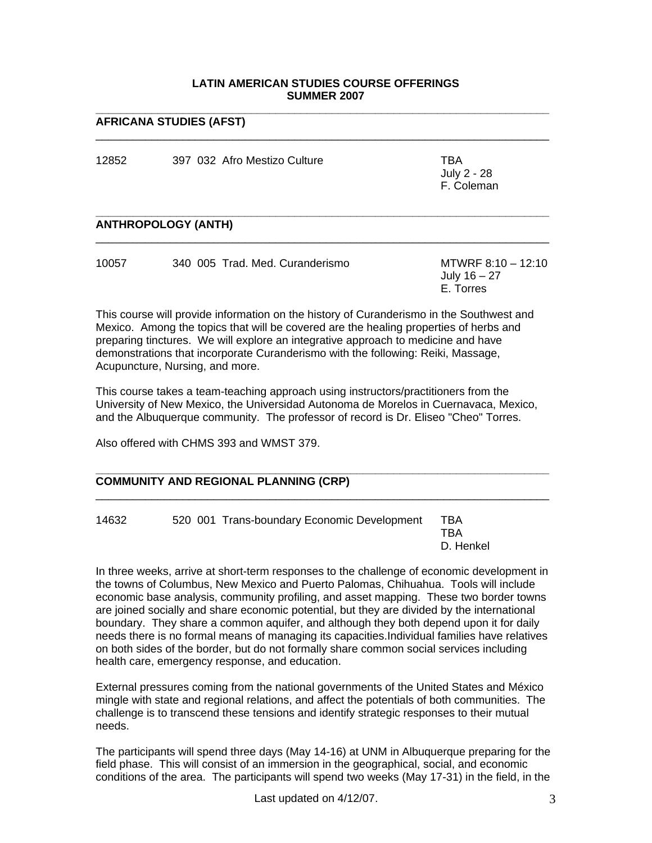## **LATIN AMERICAN STUDIES COURSE OFFERINGS SUMMER 2007**

**\_\_\_\_\_\_\_\_\_\_\_\_\_\_\_\_\_\_\_\_\_\_\_\_\_\_\_\_\_\_\_\_\_\_\_\_\_\_\_\_\_\_\_\_\_\_\_\_\_\_\_\_\_\_\_\_\_\_\_\_\_\_\_\_\_\_\_\_\_\_\_\_\_** 

 $\overline{\phantom{a}}$  ,  $\overline{\phantom{a}}$  ,  $\overline{\phantom{a}}$  ,  $\overline{\phantom{a}}$  ,  $\overline{\phantom{a}}$  ,  $\overline{\phantom{a}}$  ,  $\overline{\phantom{a}}$  ,  $\overline{\phantom{a}}$  ,  $\overline{\phantom{a}}$  ,  $\overline{\phantom{a}}$  ,  $\overline{\phantom{a}}$  ,  $\overline{\phantom{a}}$  ,  $\overline{\phantom{a}}$  ,  $\overline{\phantom{a}}$  ,  $\overline{\phantom{a}}$  ,  $\overline{\phantom{a}}$ 

#### **AFRICANA STUDIES (AFST)**

| 12852 | 397 032 Afro Mestizo Culture | TBA<br>July 2 - 28<br>F. Coleman |
|-------|------------------------------|----------------------------------|
|       |                              |                                  |
|       |                              |                                  |

#### **\_\_\_\_\_\_\_\_\_\_\_\_\_\_\_\_\_\_\_\_\_\_\_\_\_\_\_\_\_\_\_\_\_\_\_\_\_\_\_\_\_\_\_\_\_\_\_\_\_\_\_\_\_\_\_\_\_\_\_\_\_\_\_\_\_\_\_\_\_\_\_\_\_ ANTHROPOLOGY (ANTH)**

| 10057 | 340 005 Trad. Med. Curanderismo | MTWRF $8:10 - 12:10$ |
|-------|---------------------------------|----------------------|
|       |                                 | July 16 – 27         |
|       |                                 | E. Torres            |

\_\_\_\_\_\_\_\_\_\_\_\_\_\_\_\_\_\_\_\_\_\_\_\_\_\_\_\_\_\_\_\_\_\_\_\_\_\_\_\_\_\_\_\_\_\_\_\_\_\_\_\_\_\_\_\_\_\_\_\_\_\_\_\_\_\_\_\_\_\_\_\_\_

This course will provide information on the history of Curanderismo in the Southwest and Mexico. Among the topics that will be covered are the healing properties of herbs and preparing tinctures. We will explore an integrative approach to medicine and have demonstrations that incorporate Curanderismo with the following: Reiki, Massage, Acupuncture, Nursing, and more.

This course takes a team-teaching approach using instructors/practitioners from the University of New Mexico, the Universidad Autonoma de Morelos in Cuernavaca, Mexico, and the Albuquerque community. The professor of record is Dr. Eliseo "Cheo" Torres.

Also offered with CHMS 393 and WMST 379.

| <b>COMMUNITY AND REGIONAL PLANNING (CRP)</b> |                                             |                         |  |  |  |  |
|----------------------------------------------|---------------------------------------------|-------------------------|--|--|--|--|
| 14632                                        | 520 001 Trans-boundary Economic Development | TBA<br>TBA<br>D. Henkel |  |  |  |  |

In three weeks, arrive at short-term responses to the challenge of economic development in the towns of Columbus, New Mexico and Puerto Palomas, Chihuahua. Tools will include economic base analysis, community profiling, and asset mapping. These two border towns are joined socially and share economic potential, but they are divided by the international boundary. They share a common aquifer, and although they both depend upon it for daily needs there is no formal means of managing its capacities.Individual families have relatives on both sides of the border, but do not formally share common social services including health care, emergency response, and education.

External pressures coming from the national governments of the United States and México mingle with state and regional relations, and affect the potentials of both communities. The challenge is to transcend these tensions and identify strategic responses to their mutual needs.

The participants will spend three days (May 14-16) at UNM in Albuquerque preparing for the field phase. This will consist of an immersion in the geographical, social, and economic conditions of the area. The participants will spend two weeks (May 17-31) in the field, in the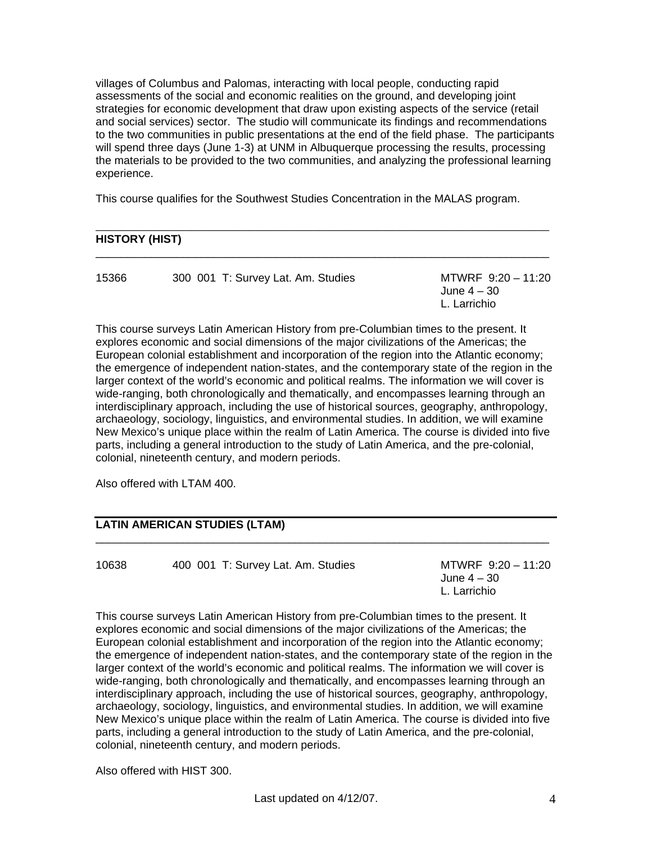villages of Columbus and Palomas, interacting with local people, conducting rapid assessments of the social and economic realities on the ground, and developing joint strategies for economic development that draw upon existing aspects of the service (retail and social services) sector. The studio will communicate its findings and recommendations to the two communities in public presentations at the end of the field phase. The participants will spend three days (June 1-3) at UNM in Albuquerque processing the results, processing the materials to be provided to the two communities, and analyzing the professional learning experience.

This course qualifies for the Southwest Studies Concentration in the MALAS program.

# **HISTORY (HIST)**

| 15366 | 300 001 T: Survey Lat. Am. Studies | MTWRF 9:20 - 11:20 |
|-------|------------------------------------|--------------------|
|       |                                    | June 4 – 30        |
|       |                                    | L. Larrichio       |

\_\_\_\_\_\_\_\_\_\_\_\_\_\_\_\_\_\_\_\_\_\_\_\_\_\_\_\_\_\_\_\_\_\_\_\_\_\_\_\_\_\_\_\_\_\_\_\_\_\_\_\_\_\_\_\_\_\_\_\_\_\_\_\_\_\_\_\_\_\_\_

 $\overline{\phantom{a}}$  ,  $\overline{\phantom{a}}$  ,  $\overline{\phantom{a}}$  ,  $\overline{\phantom{a}}$  ,  $\overline{\phantom{a}}$  ,  $\overline{\phantom{a}}$  ,  $\overline{\phantom{a}}$  ,  $\overline{\phantom{a}}$  ,  $\overline{\phantom{a}}$  ,  $\overline{\phantom{a}}$  ,  $\overline{\phantom{a}}$  ,  $\overline{\phantom{a}}$  ,  $\overline{\phantom{a}}$  ,  $\overline{\phantom{a}}$  ,  $\overline{\phantom{a}}$  ,  $\overline{\phantom{a}}$ 

This course surveys Latin American History from pre-Columbian times to the present. It explores economic and social dimensions of the major civilizations of the Americas; the European colonial establishment and incorporation of the region into the Atlantic economy; the emergence of independent nation-states, and the contemporary state of the region in the larger context of the world's economic and political realms. The information we will cover is wide-ranging, both chronologically and thematically, and encompasses learning through an interdisciplinary approach, including the use of historical sources, geography, anthropology, archaeology, sociology, linguistics, and environmental studies. In addition, we will examine New Mexico's unique place within the realm of Latin America. The course is divided into five parts, including a general introduction to the study of Latin America, and the pre-colonial, colonial, nineteenth century, and modern periods.

Also offered with LTAM 400.

# **LATIN AMERICAN STUDIES (LTAM)**

10638 400 001 T: Survey Lat. Am. Studies MTWRF 9:20 – 11:20

 June 4 – 30 L. Larrichio

This course surveys Latin American History from pre-Columbian times to the present. It explores economic and social dimensions of the major civilizations of the Americas; the European colonial establishment and incorporation of the region into the Atlantic economy; the emergence of independent nation-states, and the contemporary state of the region in the larger context of the world's economic and political realms. The information we will cover is wide-ranging, both chronologically and thematically, and encompasses learning through an interdisciplinary approach, including the use of historical sources, geography, anthropology, archaeology, sociology, linguistics, and environmental studies. In addition, we will examine New Mexico's unique place within the realm of Latin America. The course is divided into five parts, including a general introduction to the study of Latin America, and the pre-colonial, colonial, nineteenth century, and modern periods.

 $\overline{\phantom{a}}$  ,  $\overline{\phantom{a}}$  ,  $\overline{\phantom{a}}$  ,  $\overline{\phantom{a}}$  ,  $\overline{\phantom{a}}$  ,  $\overline{\phantom{a}}$  ,  $\overline{\phantom{a}}$  ,  $\overline{\phantom{a}}$  ,  $\overline{\phantom{a}}$  ,  $\overline{\phantom{a}}$  ,  $\overline{\phantom{a}}$  ,  $\overline{\phantom{a}}$  ,  $\overline{\phantom{a}}$  ,  $\overline{\phantom{a}}$  ,  $\overline{\phantom{a}}$  ,  $\overline{\phantom{a}}$ 

Also offered with HIST 300.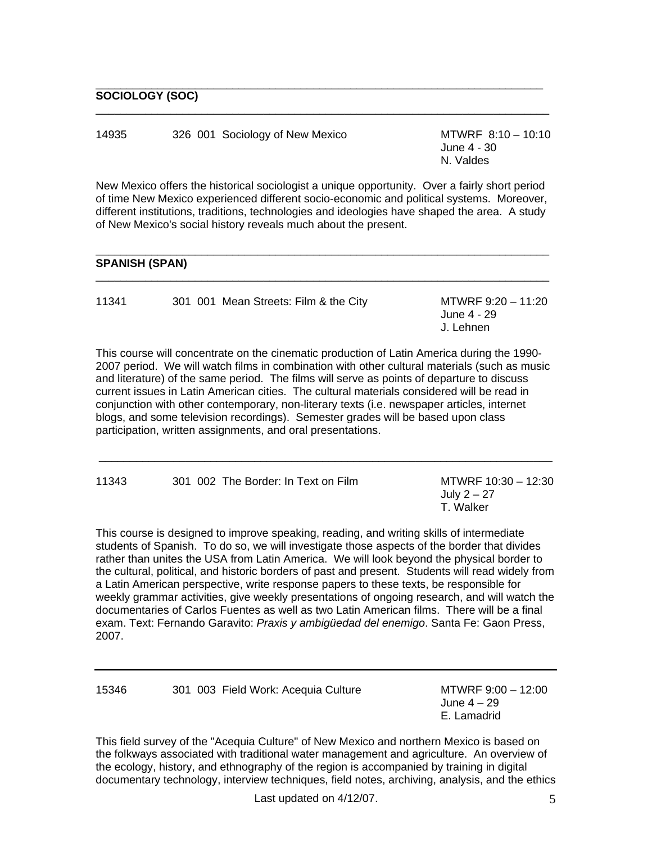# **SOCIOLOGY (SOC)**

14935 326 001 Sociology of New Mexico MTWRF 8:10 – 10:10

 June 4 - 30 N. Valdes

New Mexico offers the historical sociologist a unique opportunity. Over a fairly short period of time New Mexico experienced different socio-economic and political systems. Moreover, different institutions, traditions, technologies and ideologies have shaped the area. A study of New Mexico's social history reveals much about the present.

 $\overline{\phantom{a}}$  ,  $\overline{\phantom{a}}$  ,  $\overline{\phantom{a}}$  ,  $\overline{\phantom{a}}$  ,  $\overline{\phantom{a}}$  ,  $\overline{\phantom{a}}$  ,  $\overline{\phantom{a}}$  ,  $\overline{\phantom{a}}$  ,  $\overline{\phantom{a}}$  ,  $\overline{\phantom{a}}$  ,  $\overline{\phantom{a}}$  ,  $\overline{\phantom{a}}$  ,  $\overline{\phantom{a}}$  ,  $\overline{\phantom{a}}$  ,  $\overline{\phantom{a}}$  ,  $\overline{\phantom{a}}$ 

\_\_\_\_\_\_\_\_\_\_\_\_\_\_\_\_\_\_\_\_\_\_\_\_\_\_\_\_\_\_\_\_\_\_\_\_\_\_\_\_\_\_\_\_\_\_\_\_\_\_\_\_\_\_\_\_\_\_\_\_\_\_\_\_\_\_\_\_\_\_\_\_\_

#### **\_\_\_\_\_\_\_\_\_\_\_\_\_\_\_\_\_\_\_\_\_\_\_\_\_\_\_\_\_\_\_\_\_\_\_\_\_\_\_\_\_\_\_\_\_\_\_\_\_\_\_\_\_\_\_\_\_\_\_\_\_\_\_\_\_\_\_\_\_\_\_\_\_ SPANISH (SPAN)**

| 11341 | 301 001 Mean Streets: Film & the City | MTWRF 9:20 - 11:20<br>June 4 - 29<br>J. Lehnen |
|-------|---------------------------------------|------------------------------------------------|
|       |                                       |                                                |

 $\overline{\phantom{a}}$  ,  $\overline{\phantom{a}}$  ,  $\overline{\phantom{a}}$  ,  $\overline{\phantom{a}}$  ,  $\overline{\phantom{a}}$  ,  $\overline{\phantom{a}}$  ,  $\overline{\phantom{a}}$  ,  $\overline{\phantom{a}}$  ,  $\overline{\phantom{a}}$  ,  $\overline{\phantom{a}}$  ,  $\overline{\phantom{a}}$  ,  $\overline{\phantom{a}}$  ,  $\overline{\phantom{a}}$  ,  $\overline{\phantom{a}}$  ,  $\overline{\phantom{a}}$  ,  $\overline{\phantom{a}}$ 

This course will concentrate on the cinematic production of Latin America during the 1990- 2007 period. We will watch films in combination with other cultural materials (such as music and literature) of the same period. The films will serve as points of departure to discuss current issues in Latin American cities. The cultural materials considered will be read in conjunction with other contemporary, non-literary texts (i.e. newspaper articles, internet blogs, and some television recordings). Semester grades will be based upon class participation, written assignments, and oral presentations.

| 11343 | 301 002 The Border: In Text on Film | MTWRF 10:30 - 12:30<br>July $2 - 27$<br>T. Walker |
|-------|-------------------------------------|---------------------------------------------------|
|       |                                     |                                                   |

\_\_\_\_\_\_\_\_\_\_\_\_\_\_\_\_\_\_\_\_\_\_\_\_\_\_\_\_\_\_\_\_\_\_\_\_\_\_\_\_\_\_\_\_\_\_\_\_\_\_\_\_\_\_\_\_\_\_\_\_\_\_\_\_\_\_\_\_\_\_\_\_\_

This course is designed to improve speaking, reading, and writing skills of intermediate students of Spanish. To do so, we will investigate those aspects of the border that divides rather than unites the USA from Latin America. We will look beyond the physical border to the cultural, political, and historic borders of past and present. Students will read widely from a Latin American perspective, write response papers to these texts, be responsible for weekly grammar activities, give weekly presentations of ongoing research, and will watch the documentaries of Carlos Fuentes as well as two Latin American films. There will be a final exam. Text: Fernando Garavito: *Praxis y ambigüedad del enemigo*. Santa Fe: Gaon Press, 2007.

15346 301 003 Field Work: Acequia Culture MTWRF 9:00 – 12:00

 June 4 – 29 E. Lamadrid

This field survey of the "Acequia Culture" of New Mexico and northern Mexico is based on the folkways associated with traditional water management and agriculture. An overview of the ecology, history, and ethnography of the region is accompanied by training in digital documentary technology, interview techniques, field notes, archiving, analysis, and the ethics

Last updated on 4/12/07. 5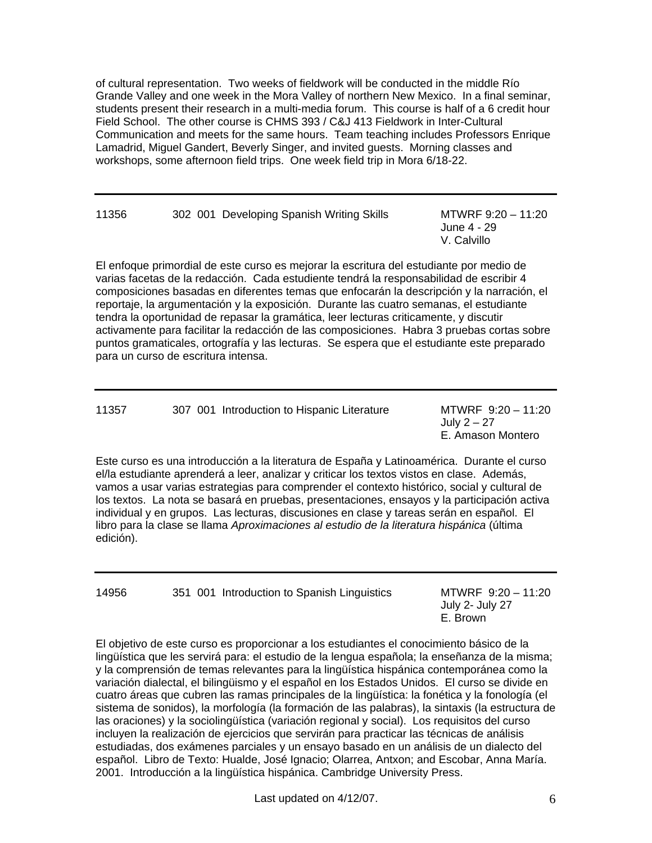of cultural representation. Two weeks of fieldwork will be conducted in the middle Río Grande Valley and one week in the Mora Valley of northern New Mexico. In a final seminar, students present their research in a multi-media forum. This course is half of a 6 credit hour Field School. The other course is CHMS 393 / C&J 413 Fieldwork in Inter-Cultural Communication and meets for the same hours. Team teaching includes Professors Enrique Lamadrid, Miguel Gandert, Beverly Singer, and invited guests. Morning classes and workshops, some afternoon field trips. One week field trip in Mora 6/18-22.

| 11356 |  | 302 001 Developing Spanish Writing Skills |
|-------|--|-------------------------------------------|
|       |  |                                           |

 $MTWRF 9:20 - 11:20$  June 4 - 29 V. Calvillo

El enfoque primordial de este curso es mejorar la escritura del estudiante por medio de varias facetas de la redacción. Cada estudiente tendrá la responsabilidad de escribir 4 composiciones basadas en diferentes temas que enfocarán la descripción y la narración, el reportaje, la argumentación y la exposición. Durante las cuatro semanas, el estudiante tendra la oportunidad de repasar la gramática, leer lecturas criticamente, y discutir activamente para facilitar la redacción de las composiciones. Habra 3 pruebas cortas sobre puntos gramaticales, ortografía y las lecturas. Se espera que el estudiante este preparado para un curso de escritura intensa.

| 11357<br>307 001 Introduction to Hispanic Literature | MTWRF 9:20 - 11:20<br>July 2 – 27<br>E. Amason Montero |
|------------------------------------------------------|--------------------------------------------------------|
|------------------------------------------------------|--------------------------------------------------------|

Este curso es una introducción a la literatura de España y Latinoamérica. Durante el curso el/la estudiante aprenderá a leer, analizar y criticar los textos vistos en clase. Además, vamos a usar varias estrategias para comprender el contexto histórico, social y cultural de los textos. La nota se basará en pruebas, presentaciones, ensayos y la participación activa individual y en grupos. Las lecturas, discusiones en clase y tareas serán en español. El libro para la clase se llama *Aproximaciones al estudio de la literatura hispánica* (última edición).

14956 351 001 Introduction to Spanish Linguistics MTWRF 9:20 – 11:20

 July 2- July 27 E. Brown

El objetivo de este curso es proporcionar a los estudiantes el conocimiento básico de la lingüística que les servirá para: el estudio de la lengua española; la enseñanza de la misma; y la comprensión de temas relevantes para la lingüística hispánica contemporánea como la variación dialectal, el bilingüismo y el español en los Estados Unidos. El curso se divide en cuatro áreas que cubren las ramas principales de la lingüística: la fonética y la fonología (el sistema de sonidos), la morfología (la formación de las palabras), la sintaxis (la estructura de las oraciones) y la sociolingüística (variación regional y social). Los requisitos del curso incluyen la realización de ejercicios que servirán para practicar las técnicas de análisis estudiadas, dos exámenes parciales y un ensayo basado en un análisis de un dialecto del español. Libro de Texto: Hualde, José Ignacio; Olarrea, Antxon; and Escobar, Anna María. 2001. Introducción a la lingüística hispánica. Cambridge University Press.